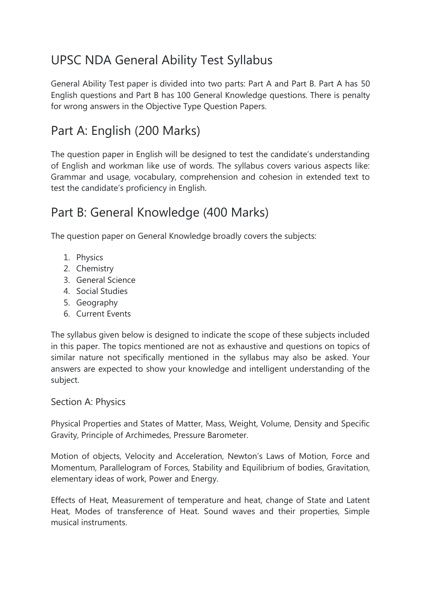# UPSC NDA General Ability Test Syllabus

General Ability Test paper is divided into two parts: Part A and Part B. Part A has 50 English questions and Part B has 100 General Knowledge questions. There is penalty for wrong answers in the Objective Type Question Papers.

## Part A: English (200 Marks)

The question paper in English will be designed to test the candidate's understanding of English and workman like use of words. The syllabus covers various aspects like: Grammar and usage, vocabulary, comprehension and cohesion in extended text to test the candidate's proficiency in English.

## Part B: General Knowledge (400 Marks)

The question paper on General Knowledge broadly covers the subjects:

- 1. Physics
- 2. Chemistry
- 3. General Science
- 4. Social Studies
- 5. Geography
- 6. Current Events

The syllabus given below is designed to indicate the scope of these subjects included in this paper. The topics mentioned are not as exhaustive and questions on topics of similar nature not specifically mentioned in the syllabus may also be asked. Your answers are expected to show your knowledge and intelligent understanding of the subject.

## Section A: Physics

Physical Properties and States of Matter, Mass, Weight, Volume, Density and Specific Gravity, Principle of Archimedes, Pressure Barometer.

Motion of objects, Velocity and Acceleration, Newton's Laws of Motion, Force and Momentum, Parallelogram of Forces, Stability and Equilibrium of bodies, Gravitation, elementary ideas of work, Power and Energy.

Effects of Heat, Measurement of temperature and heat, change of State and Latent Heat, Modes of transference of Heat. Sound waves and their properties, Simple musical instruments.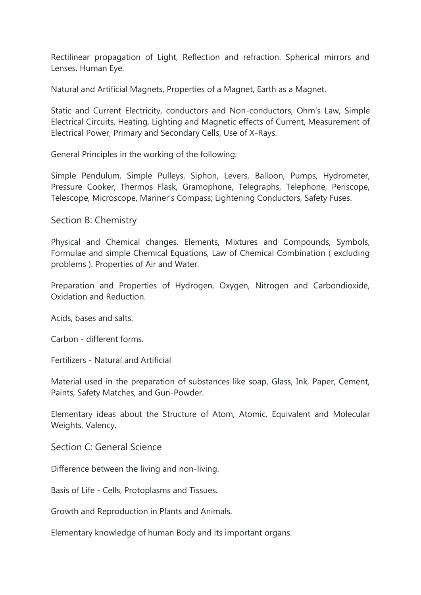Rectilinear propagation of Light, Reflection and refraction. Spherical mirrors and Lenses. Human Eye.

Natural and Artificial Magnets, Properties of a Magnet, Earth as a Magnet.

Static and Current Electricity, conductors and Non-conductors, Ohm's Law, Simple Electrical Circuits, Heating, Lighting and Magnetic effects of Current, Measurement of Electrical Power, Primary and Secondary Cells, Use of X-Rays.

General Principles in the working of the following:

Simple Pendulum, Simple Pulleys, Siphon, Levers, Balloon, Pumps, Hydrometer, Pressure Cooker, Thermos Flask, Gramophone, Telegraphs, Telephone, Periscope, Telescope, Microscope, Mariner's Compass; Lightening Conductors, Safety Fuses.

#### Section B: Chemistry

Physical and Chemical changes. Elements, Mixtures and Compounds, Symbols, Formulae and simple Chemical Equations, Law of Chemical Combination ( excluding problems ). Properties of Air and Water.

Preparation and Properties of Hydrogen, Oxygen, Nitrogen and Carbondioxide, Oxidation and Reduction.

Acids, bases and salts.

Carbon - different forms.

Fertilizers - Natural and Artificial

Material used in the preparation of substances like soap, Glass, Ink, Paper, Cement, Paints, Safety Matches, and Gun-Powder.

Elementary ideas about the Structure of Atom, Atomic, Equivalent and Molecular Weights, Valency.

Section C: General Science

Difference between the living and non-living.

Basis of Life - Cells, Protoplasms and Tissues.

Growth and Reproduction in Plants and Animals.

Elementary knowledge of human Body and its important organs.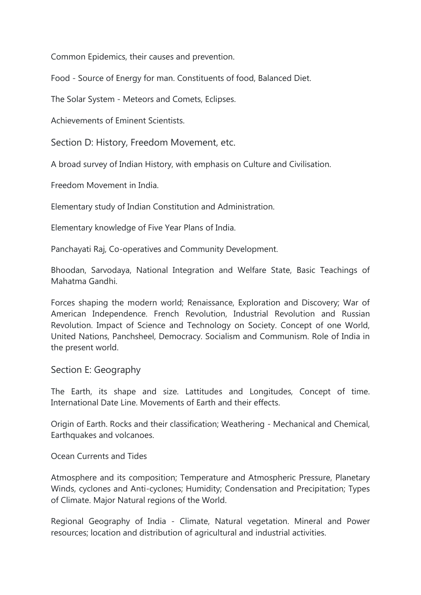Common Epidemics, their causes and prevention.

Food - Source of Energy for man. Constituents of food, Balanced Diet.

The Solar System - Meteors and Comets, Eclipses.

Achievements of Eminent Scientists.

Section D: History, Freedom Movement, etc.

A broad survey of Indian History, with emphasis on Culture and Civilisation.

Freedom Movement in India.

Elementary study of Indian Constitution and Administration.

Elementary knowledge of Five Year Plans of India.

Panchayati Raj, Co-operatives and Community Development.

Bhoodan, Sarvodaya, National Integration and Welfare State, Basic Teachings of Mahatma Gandhi.

Forces shaping the modern world; Renaissance, Exploration and Discovery; War of American Independence. French Revolution, Industrial Revolution and Russian Revolution. Impact of Science and Technology on Society. Concept of one World, United Nations, Panchsheel, Democracy. Socialism and Communism. Role of India in the present world.

Section E: Geography

The Earth, its shape and size. Lattitudes and Longitudes, Concept of time. International Date Line. Movements of Earth and their effects.

Origin of Earth. Rocks and their classification; Weathering - Mechanical and Chemical, Earthquakes and volcanoes.

Ocean Currents and Tides

Atmosphere and its composition; Temperature and Atmospheric Pressure, Planetary Winds, cyclones and Anti-cyclones; Humidity; Condensation and Precipitation; Types of Climate. Major Natural regions of the World.

Regional Geography of India - Climate, Natural vegetation. Mineral and Power resources; location and distribution of agricultural and industrial activities.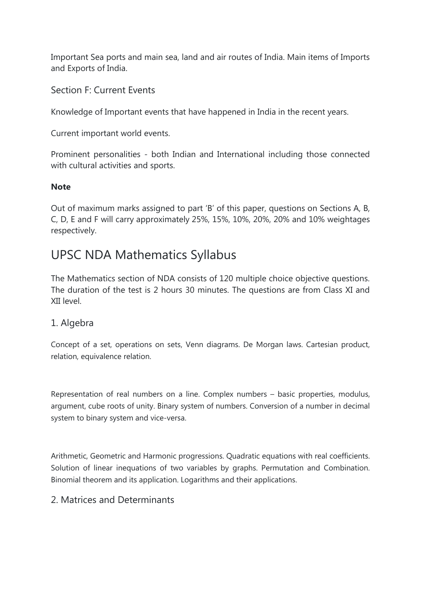Important Sea ports and main sea, land and air routes of India. Main items of Imports and Exports of India.

Section F: Current Events

Knowledge of Important events that have happened in India in the recent years.

Current important world events.

Prominent personalities - both Indian and International including those connected with cultural activities and sports.

#### **Note**

Out of maximum marks assigned to part 'B' of this paper, questions on Sections A, B, C, D, E and F will carry approximately 25%, 15%, 10%, 20%, 20% and 10% weightages respectively.

## UPSC NDA Mathematics Syllabus

The Mathematics section of NDA consists of 120 multiple choice objective questions. The duration of the test is 2 hours 30 minutes. The questions are from Class XI and XII level.

#### 1. Algebra

Concept of a set, operations on sets, Venn diagrams. De Morgan laws. Cartesian product, relation, equivalence relation.

Representation of real numbers on a line. Complex numbers – basic properties, modulus, argument, cube roots of unity. Binary system of numbers. Conversion of a number in decimal system to binary system and vice-versa.

Arithmetic, Geometric and Harmonic progressions. Quadratic equations with real coefficients. Solution of linear inequations of two variables by graphs. Permutation and Combination. Binomial theorem and its application. Logarithms and their applications.

#### 2. Matrices and Determinants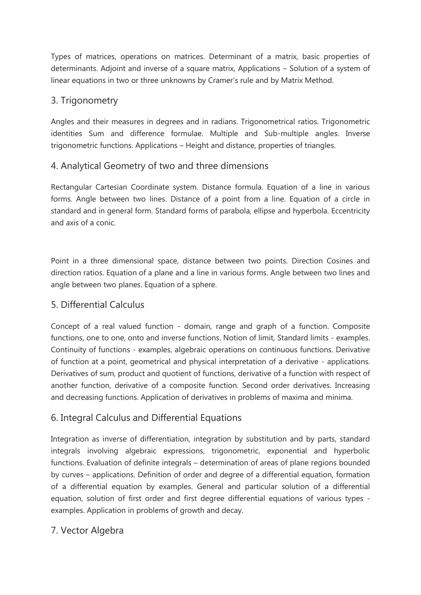Types of matrices, operations on matrices. Determinant of a matrix, basic properties of determinants. Adjoint and inverse of a square matrix, Applications – Solution of a system of linear equations in two or three unknowns by Cramer's rule and by Matrix Method.

## 3. Trigonometry

Angles and their measures in degrees and in radians. Trigonometrical ratios. Trigonometric identities Sum and difference formulae. Multiple and Sub-multiple angles. Inverse trigonometric functions. Applications – Height and distance, properties of triangles.

### 4. Analytical Geometry of two and three dimensions

Rectangular Cartesian Coordinate system. Distance formula. Equation of a line in various forms. Angle between two lines. Distance of a point from a line. Equation of a circle in standard and in general form. Standard forms of parabola, ellipse and hyperbola. Eccentricity and axis of a conic.

Point in a three dimensional space, distance between two points. Direction Cosines and direction ratios. Equation of a plane and a line in various forms. Angle between two lines and angle between two planes. Equation of a sphere.

#### 5. Differential Calculus

Concept of a real valued function - domain, range and graph of a function. Composite functions, one to one, onto and inverse functions. Notion of limit, Standard limits - examples. Continuity of functions - examples, algebraic operations on continuous functions. Derivative of function at a point, geometrical and physical interpretation of a derivative - applications. Derivatives of sum, product and quotient of functions, derivative of a function with respect of another function, derivative of a composite function. Second order derivatives. Increasing and decreasing functions. Application of derivatives in problems of maxima and minima.

## 6. Integral Calculus and Differential Equations

Integration as inverse of differentiation, integration by substitution and by parts, standard integrals involving algebraic expressions, trigonometric, exponential and hyperbolic functions. Evaluation of definite integrals – determination of areas of plane regions bounded by curves – applications. Definition of order and degree of a differential equation, formation of a differential equation by examples. General and particular solution of a differential equation, solution of first order and first degree differential equations of various types examples. Application in problems of growth and decay.

## 7. Vector Algebra